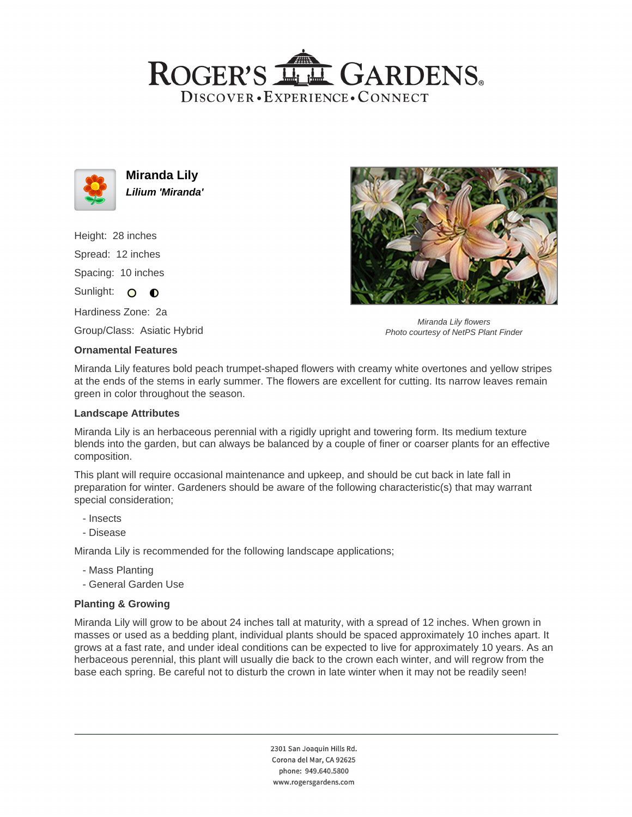## ROGER'S LL GARDENS. DISCOVER · EXPERIENCE · CONNECT



**Miranda Lily Lilium 'Miranda'**

Height: 28 inches Spread: 12 inches Spacing: 10 inches Sunlight:  $\circ$   $\bullet$ 

Hardiness Zone: 2a

Group/Class: Asiatic Hybrid

## **Ornamental Features**

Miranda Lily flowers Photo courtesy of NetPS Plant Finder

Miranda Lily features bold peach trumpet-shaped flowers with creamy white overtones and yellow stripes at the ends of the stems in early summer. The flowers are excellent for cutting. Its narrow leaves remain green in color throughout the season.

## **Landscape Attributes**

Miranda Lily is an herbaceous perennial with a rigidly upright and towering form. Its medium texture blends into the garden, but can always be balanced by a couple of finer or coarser plants for an effective composition.

This plant will require occasional maintenance and upkeep, and should be cut back in late fall in preparation for winter. Gardeners should be aware of the following characteristic(s) that may warrant special consideration;

- Insects
- Disease

Miranda Lily is recommended for the following landscape applications;

- Mass Planting
- General Garden Use

## **Planting & Growing**

Miranda Lily will grow to be about 24 inches tall at maturity, with a spread of 12 inches. When grown in masses or used as a bedding plant, individual plants should be spaced approximately 10 inches apart. It grows at a fast rate, and under ideal conditions can be expected to live for approximately 10 years. As an herbaceous perennial, this plant will usually die back to the crown each winter, and will regrow from the base each spring. Be careful not to disturb the crown in late winter when it may not be readily seen!

> 2301 San Joaquin Hills Rd. Corona del Mar, CA 92625 phone: 949.640.5800 www.rogersgardens.com